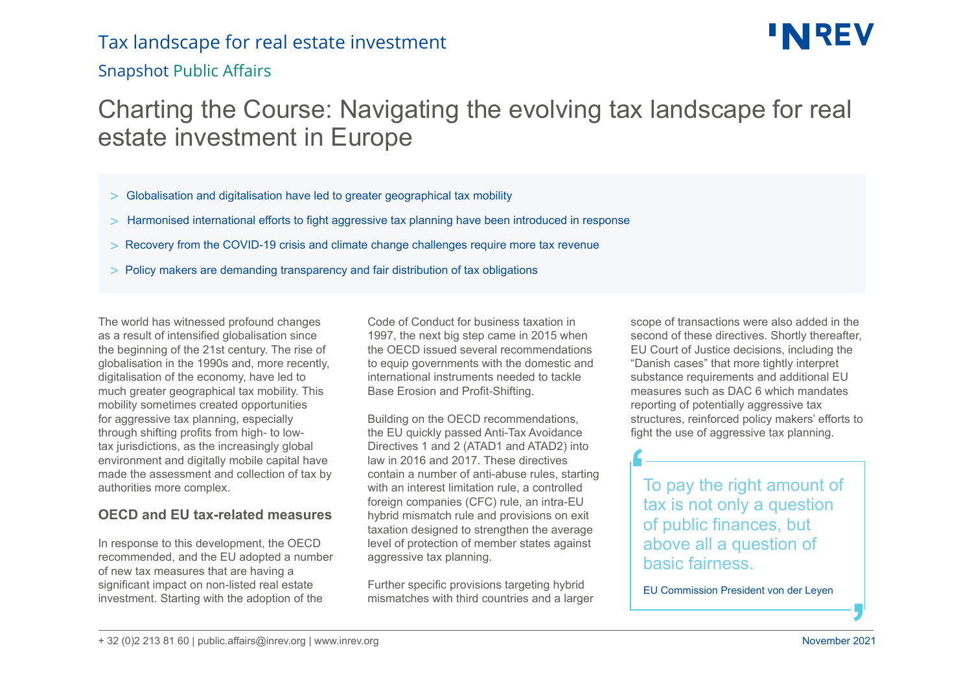### Tax landscape for real estate investment

### Snapshot Public Affairs

# **INREV**

### Charting the Course: Navigating the evolving tax landscape for real estate investment in Europe

- > Globalisation and digitalisation have led to greater geographical tax mobility
- > Harmonised international efforts to fight aggressive tax planning have been introduced in response
- > Recovery from the COVID-19 crisis and climate change challenges require more tax revenue
- > Policy makers are demanding transparency and fair distribution of tax obligations

The world has witnessed profound changes as a result of intensified globalisation since the beginning of the 21st century. The rise of globalisation in the 1990s and, more recently, digitalisation of the economy, have led to much greater geographical tax mobility. This mobility sometimes created opportunities for aggressive tax planning, especially through shifting profits from high- to lowtax jurisdictions, as the increasingly global environment and digitally mobile capital have made the assessment and collection of tax by authorities more complex.

#### **OECD and EU tax-related measures**

In response to this development, the OECD recommended, and the EU adopted a number of new tax measures that are having a significant impact on non-listed real estate investment. Starting with the adoption of the

Code of Conduct for business taxation in 1997, the next big step came in 2015 when the OECD issued several recommendations to equip governments with the domestic and international instruments needed to tackle Base Erosion and Profit-Shifting.

Building on the OECD recommendations, the EU quickly passed Anti-Tax Avoidance Directives 1 and 2 (ATAD1 and ATAD2) into law in 2016 and 2017. These directives contain a number of anti-abuse rules, starting with an interest limitation rule, a controlled foreign companies (CFC) rule, an intra-EU hybrid mismatch rule and provisions on exit taxation designed to strengthen the average level of protection of member states against aggressive tax planning.

Further specific provisions targeting hybrid mismatches with third countries and a larger

scope of transactions were also added in the second of these directives. Shortly thereafter, EU Court of Justice decisions, including the "Danish cases" that more tightly interpret substance requirements and additional EU measures such as DAC 6 which mandates reporting of potentially aggressive tax structures, reinforced policy makers' efforts to fight the use of aggressive tax planning.

To pay the right amount of tax is not only a question of public finances, but above all a question of basic fairness.

EU Commission President von der Leyen